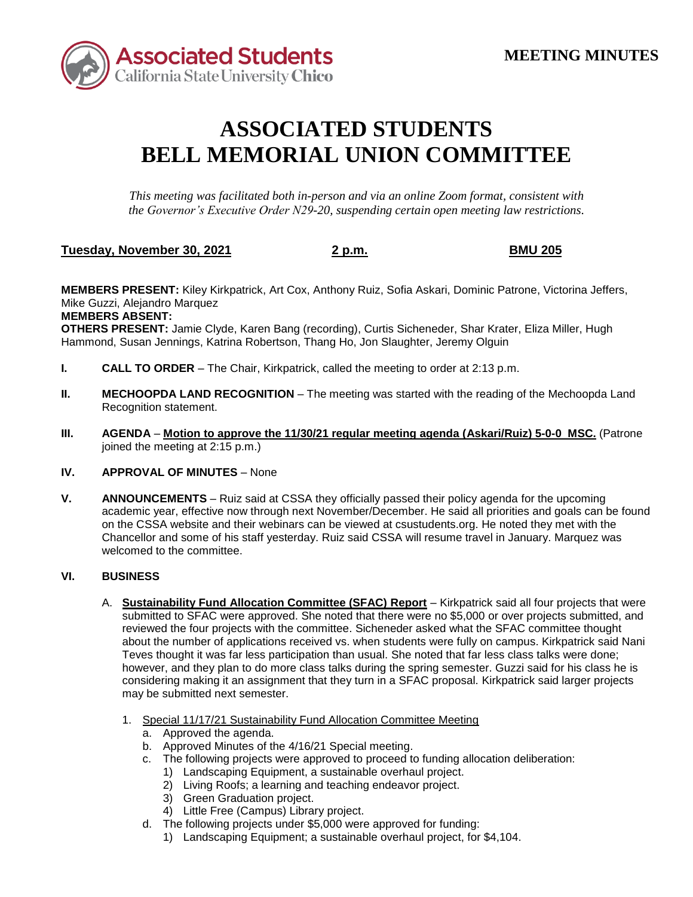

# **ASSOCIATED STUDENTS BELL MEMORIAL UNION COMMITTEE**

*This meeting was facilitated both in-person and via an online Zoom format, consistent with the Governor's Executive Order N29-20, suspending certain open meeting law restrictions.* 

# **Tuesday, November 30, 2021 2 p.m. BMU 205**

**MEMBERS PRESENT:** Kiley Kirkpatrick, Art Cox, Anthony Ruiz, Sofia Askari, Dominic Patrone, Victorina Jeffers, Mike Guzzi, Alejandro Marquez

**MEMBERS ABSENT:** 

**OTHERS PRESENT:** Jamie Clyde, Karen Bang (recording), Curtis Sicheneder, Shar Krater, Eliza Miller, Hugh Hammond, Susan Jennings, Katrina Robertson, Thang Ho, Jon Slaughter, Jeremy Olguin

- **I. CALL TO ORDER**  The Chair, Kirkpatrick, called the meeting to order at 2:13 p.m.
- **II. MECHOOPDA LAND RECOGNITION** The meeting was started with the reading of the Mechoopda Land Recognition statement.
- **III. AGENDA Motion to approve the 11/30/21 regular meeting agenda (Askari/Ruiz) 5-0-0 MSC.** (Patrone joined the meeting at 2:15 p.m.)

## **IV. APPROVAL OF MINUTES** – None

 **V. ANNOUNCEMENTS** – Ruiz said at CSSA they officially passed their policy agenda for the upcoming Chancellor and some of his staff yesterday. Ruiz said CSSA will resume travel in January. Marquez was academic year, effective now through next November/December. He said all priorities and goals can be found on the CSSA website and their webinars can be viewed at [csustudents.org](https://csustudents.org). He noted they met with the welcomed to the committee.

## **VI. BUSINESS**

- however, and they plan to do more class talks during the spring semester. Guzzi said for his class he is A. **Sustainability Fund Allocation Committee (SFAC) Report** – Kirkpatrick said all four projects that were submitted to SFAC were approved. She noted that there were no \$5,000 or over projects submitted, and reviewed the four projects with the committee. Sicheneder asked what the SFAC committee thought about the number of applications received vs. when students were fully on campus. Kirkpatrick said Nani Teves thought it was far less participation than usual. She noted that far less class talks were done; considering making it an assignment that they turn in a SFAC proposal. Kirkpatrick said larger projects may be submitted next semester.
	- 1. Special 11/17/21 Sustainability Fund Allocation Committee Meeting
		- a. Approved the agenda.
		- b. Approved Minutes of the 4/16/21 Special meeting.
		- c. The following projects were approved to proceed to funding allocation deliberation:
			- 1) Landscaping Equipment, a sustainable overhaul project.
			- 2) Living Roofs; a learning and teaching endeavor project.
			- 3) Green Graduation project.
			- 4) Little Free (Campus) Library project.
		- d. The following projects under \$5,000 were approved for funding:
			- 1) Landscaping Equipment; a sustainable overhaul project, for \$4,104.